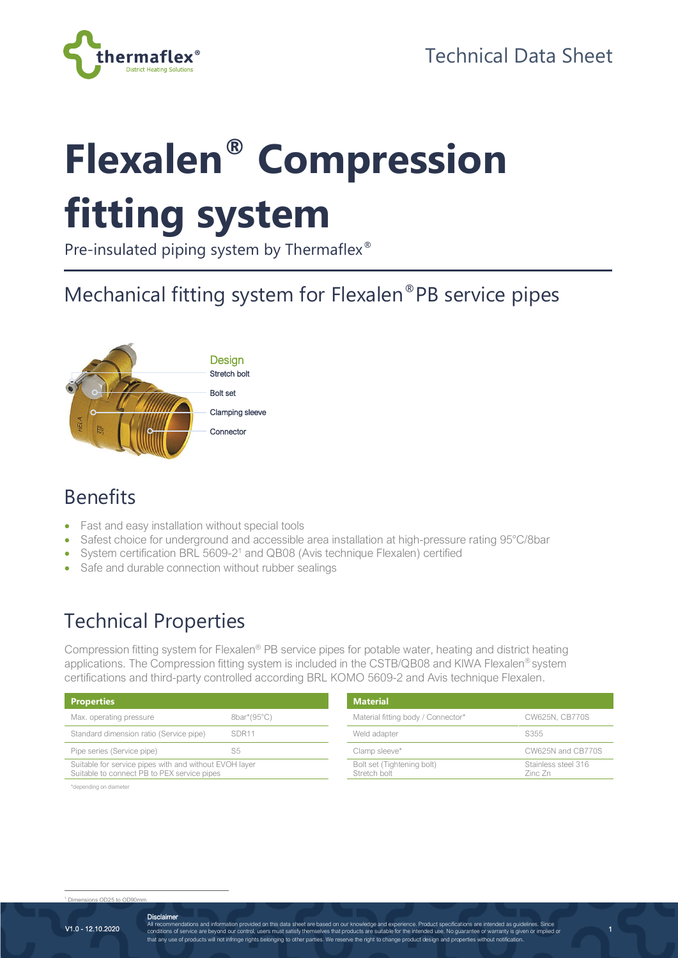

# **Flexalen® Compression fitting system**

Pre-insulated piping system by Thermaflex<sup>®</sup>

### Mechanical fitting system for Flexalen®PB service pipes



#### Benefits

- Fast and easy installation without special tools
- Safest choice for underground and accessible area installation at high-pressure rating 95°C/8bar
- System certification BRL 5609-2<sup>1</sup> and QB08 (Avis technique Flexalen) certified
- Safe and durable connection without rubber sealings

#### Technical Properties

Compression fitting system for Flexalen® PB service pipes for potable water, heating and district heating applications. The Compression fitting system is included in the CSTB/QB08 and KIWA Flexalen® system certifications and third-party controlled according BRL KOMO 5609-2 and Avis technique Flexalen.

| <b>Properties</b>                                                                                     |                   | <b>Material</b>                            |                                |
|-------------------------------------------------------------------------------------------------------|-------------------|--------------------------------------------|--------------------------------|
| Max. operating pressure                                                                               | 8bar*(95°C)       | Material fitting body / Connector*         | CW625N, CB770S                 |
| Standard dimension ratio (Service pipe)                                                               | SDR <sub>11</sub> | Weld adapter                               | S355                           |
| Pipe series (Service pipe)                                                                            | S5                | Clamp sleeve*                              | CW625N and CB770S              |
| Suitable for service pipes with and without EVOH layer<br>Suitable to connect PB to PEX service pipes |                   | Bolt set (Tightening bolt)<br>Stretch bolt | Stainless steel 316<br>Zinc Zn |

\*depending on diameter

 $1.0005 \div 0000$ 

1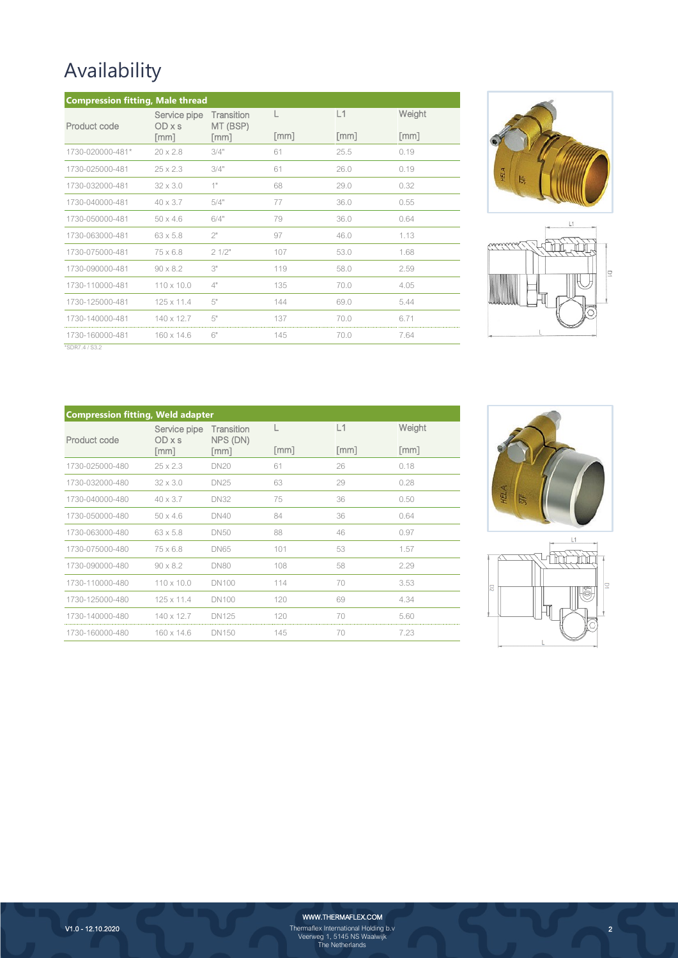## Availability

| <b>Compression fitting, Male thread</b> |                      |                        |                             |                             |                      |
|-----------------------------------------|----------------------|------------------------|-----------------------------|-----------------------------|----------------------|
| Product code                            | Service pipe<br>ODxs | Transition<br>MT (BSP) |                             | L1                          | Weight               |
|                                         | $\lceil mm \rceil$   | $\lceil mm \rceil$     | $\lceil \mathsf{mm} \rceil$ | $\lceil \mathsf{mm} \rceil$ | $\lceil$ mm $\rceil$ |
| 1730-020000-481*                        | $20 \times 2.8$      | 3/4"                   | 61                          | 25.5                        | 0.19                 |
| 1730-025000-481                         | $25 \times 2.3$      | 3/4"                   | 61                          | 26.0                        | 0.19                 |
| 1730-032000-481                         | $32 \times 3.0$      | 1"                     | 68                          | 29.0                        | 0.32                 |
| 1730-040000-481                         | $40 \times 3.7$      | 5/4"                   | 77                          | 36.0                        | 0.55                 |
| 1730-050000-481                         | $50 \times 4.6$      | 6/4"                   | 79                          | 36.0                        | 0.64                 |
| 1730-063000-481                         | $63 \times 5.8$      | 2"                     | 97                          | 46.0                        | 1.13                 |
| 1730-075000-481                         | $75 \times 6.8$      | 21/2"                  | 107                         | 53.0                        | 1.68                 |
| 1730-090000-481                         | $90 \times 8.2$      | 3"                     | 119                         | 58.0                        | 2.59                 |
| 1730-110000-481                         | $110 \times 10.0$    | 4"                     | 135                         | 70.0                        | 4.05                 |
| 1730-125000-481                         | $125 \times 11.4$    | 5"                     | 144                         | 69.0                        | 5.44                 |
| 1730-140000-481                         | $140 \times 12.7$    | 5"                     | 137                         | 70.0                        | 6.71                 |
| 1730-160000-481                         | $160 \times 14.6$    | 6"                     | 145                         | 70.0                        | 7.64                 |





\*SDR7.4 / S3.2

| <b>Compression fitting, Weld adapter</b> |                        |                        |                    |                             |                      |
|------------------------------------------|------------------------|------------------------|--------------------|-----------------------------|----------------------|
| Product code                             | Service pipe<br>OD x s | Transition<br>NPS (DN) |                    | L1                          | Weight               |
|                                          | $\lceil$ mm $\rceil$   | $\lceil mm \rceil$     | $\lceil mm \rceil$ | $\lceil \mathsf{mm} \rceil$ | $\lceil$ mm $\rceil$ |
| 1730-025000-480                          | $25 \times 2.3$        | <b>DN20</b>            | 61                 | 26                          | 0.18                 |
| 1730-032000-480                          | $32 \times 3.0$        | <b>DN25</b>            | 63                 | 29                          | 0.28                 |
| 1730-040000-480                          | $40 \times 3.7$        | <b>DN32</b>            | 75                 | 36                          | 0.50                 |
| 1730-050000-480                          | $50 \times 4.6$        | <b>DN40</b>            | 84                 | 36                          | 0.64                 |
| 1730-063000-480                          | $63 \times 5.8$        | <b>DN50</b>            | 88                 | 46                          | 0.97                 |
| 1730-075000-480                          | $75 \times 6.8$        | <b>DN65</b>            | 101                | 53                          | 1.57                 |
| 1730-090000-480                          | $90 \times 8.2$        | <b>DN80</b>            | 108                | 58                          | 2.29                 |
| 1730-110000-480                          | $110 \times 10.0$      | <b>DN100</b>           | 114                | 70                          | 3.53                 |
| 1730-125000-480                          | $125 \times 11.4$      | <b>DN100</b>           | 120                | 69                          | 4.34                 |
| 1730-140000-480                          | $140 \times 12.7$      | <b>DN125</b>           | 120                | 70                          | 5.60                 |
| 1730-160000-480                          | $160 \times 14.6$      | <b>DN150</b>           | 145                | 70                          | 7.23                 |





2

WWW.THERMAFLEX.COM

Thermaflex International Holding b.v Veerweg 1, 5145 NS Waalwijk The Netherlands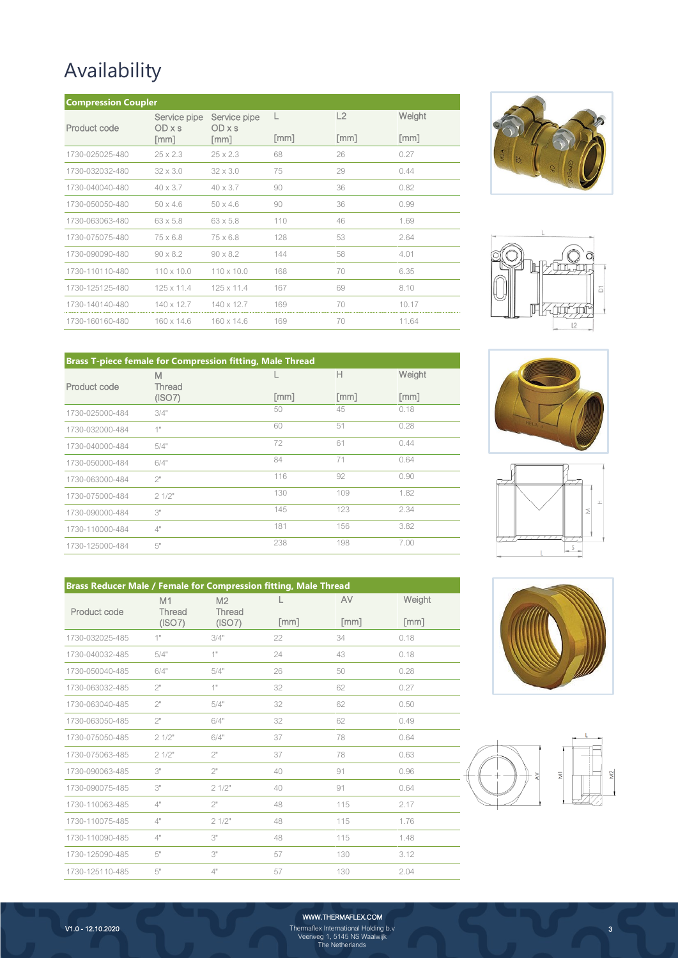## Availability

| <b>Compression Coupler</b> |                             |                      |                      |                    |                      |
|----------------------------|-----------------------------|----------------------|----------------------|--------------------|----------------------|
| Product code               | Service pipe<br>ODxs        | Service pipe<br>ODxs | L                    | L2                 | Weight               |
|                            | $\lceil \mathsf{mm} \rceil$ | $\lceil mm \rceil$   | $\lceil$ mm $\rceil$ | $\lceil mm \rceil$ | $\lceil$ mm $\rceil$ |
| 1730-025025-480            | $25 \times 2.3$             | $25 \times 2.3$      | 68                   | 26                 | 0.27                 |
| 1730-032032-480            | $32 \times 3.0$             | $32 \times 3.0$      | 75                   | 29                 | 0.44                 |
| 1730-040040-480            | $40 \times 3.7$             | $40 \times 3.7$      | 90                   | 36                 | 0.82                 |
| 1730-050050-480            | $50 \times 46$              | $50 \times 4.6$      | 90                   | 36                 | 0.99                 |
| 1730-063063-480            | $63 \times 5.8$             | $63 \times 5.8$      | 110                  | 46                 | 1.69                 |
| 1730-075075-480            | $75 \times 6.8$             | $75 \times 6.8$      | 128                  | 53                 | 2.64                 |
| 1730-090090-480            | $90 \times 8.2$             | $90 \times 8.2$      | 144                  | 58                 | 4.01                 |
| 1730-110110-480            | $110 \times 10.0$           | $110 \times 10.0$    | 168                  | 70                 | 6.35                 |
| 1730-125125-480            | $125 \times 11.4$           | $125 \times 11.4$    | 167                  | 69                 | 8.10                 |
| 1730-140140-480            | $140 \times 12.7$           | $140 \times 12.7$    | 169                  | 70                 | 10.17                |
| 1730-160160-480            | $160 \times 14.6$           | $160 \times 14.6$    | 169                  | 70                 | 11.64                |





| <b>Brass T-piece female for Compression fitting, Male Thread</b> |             |                    |                             |                    |
|------------------------------------------------------------------|-------------|--------------------|-----------------------------|--------------------|
| Product code                                                     | M<br>Thread |                    | Н                           | Weight             |
|                                                                  | (ISO7)      | $\lceil mm \rceil$ | $\lceil \mathsf{mm} \rceil$ | $\lceil mm \rceil$ |
| 1730-025000-484                                                  | 3/4"        | 50                 | 45                          | 0.18               |
| 1730-032000-484                                                  | 1"          | 60                 | 51                          | 0.28               |
| 1730-040000-484                                                  | 5/4"        | 72                 | 61                          | 0.44               |
| 1730-050000-484                                                  | 6/4"        | 84                 | 71                          | 0.64               |
| 1730-063000-484                                                  | 2"          | 116                | 92                          | 0.90               |
| 1730-075000-484                                                  | 21/2"       | 130                | 109                         | 1.82               |
| 1730-090000-484                                                  | 3"          | 145                | 123                         | 2.34               |
| 1730-110000-484                                                  | 4"          | 181                | 156                         | 3.82               |
| 1730-125000-484                                                  | 5"          | 238                | 198                         | 7.00               |
|                                                                  |             |                    |                             |                    |

| <b>Brass Reducer Male / Female for Compression fitting, Male Thread</b> |                        |                                    |      |                                   |                |  |
|-------------------------------------------------------------------------|------------------------|------------------------------------|------|-----------------------------------|----------------|--|
| Product code                                                            | M1<br>Thread<br>(ISO7) | M <sub>2</sub><br>Thread<br>(ISO7) | [mm] | AV<br>$\lceil \mathsf{mm} \rceil$ | Weight<br>[mm] |  |
| 1730-032025-485                                                         | 1"                     | 3/4"                               | 22   | 34                                | 0.18           |  |
| 1730-040032-485                                                         | 5/4"                   | 1"                                 | 24   | 43                                | 0.18           |  |
| 1730-050040-485                                                         | 6/4"                   | 5/4"                               | 26   | 50                                | 0.28           |  |
| 1730-063032-485                                                         | 2"                     | 1"                                 | 32   | 62                                | 0.27           |  |
| 1730-063040-485                                                         | 2"                     | 5/4"                               | 32   | 62                                | 0.50           |  |
| 1730-063050-485                                                         | 2"                     | 6/4"                               | 32   | 62                                | 0.49           |  |
| 1730-075050-485                                                         | 21/2"                  | 6/4"                               | 37   | 78                                | 0.64           |  |
| 1730-075063-485                                                         | 21/2"                  | 2"                                 | 37   | 78                                | 0.63           |  |
| 1730-090063-485                                                         | 3"                     | 2"                                 | 40   | 91                                | 0.96           |  |
| 1730-090075-485                                                         | 3"                     | 21/2"                              | 40   | 91                                | 0.64           |  |
| 1730-110063-485                                                         | 4"                     | 2"                                 | 48   | 115                               | 2.17           |  |
| 1730-110075-485                                                         | 4"                     | 21/2"                              | 48   | 115                               | 1.76           |  |
| 1730-110090-485                                                         | 4"                     | 3"                                 | 48   | 115                               | 1.48           |  |
| 1730-125090-485                                                         | 5"                     | 3"                                 | 57   | 130                               | 3.12           |  |
| 1730-125110-485                                                         | 5"                     | 4"                                 | 57   | 130                               | 2.04           |  |









3

WWW.THERMAFLEX.COM

Thermaflex International Holding b.v Veerweg 1, 5145 NS Waalwijk The Netherlands